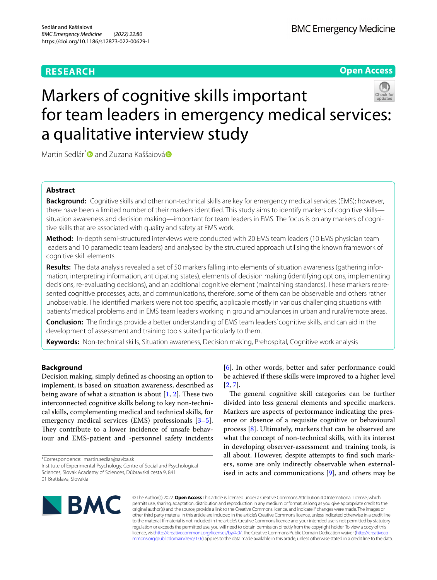# **RESEARCH**

**Open Access**

# Markers of cognitive skills important for team leaders in emergency medical services: a qualitative interview study



Martin Sedlár<sup>\*</sup> and Zuzana Kaššaiová<sup>®</sup>

## **Abstract**

**Background:** Cognitive skills and other non-technical skills are key for emergency medical services (EMS); however, there have been a limited number of their markers identifed. This study aims to identify markers of cognitive skills situation awareness and decision making—important for team leaders in EMS. The focus is on any markers of cognitive skills that are associated with quality and safety at EMS work.

**Method:** In-depth semi-structured interviews were conducted with 20 EMS team leaders (10 EMS physician team leaders and 10 paramedic team leaders) and analysed by the structured approach utilising the known framework of cognitive skill elements.

**Results:** The data analysis revealed a set of 50 markers falling into elements of situation awareness (gathering information, interpreting information, anticipating states), elements of decision making (identifying options, implementing decisions, re-evaluating decisions), and an additional cognitive element (maintaining standards). These markers represented cognitive processes, acts, and communications, therefore, some of them can be observable and others rather unobservable. The identifed markers were not too specifc, applicable mostly in various challenging situations with patients' medical problems and in EMS team leaders working in ground ambulances in urban and rural/remote areas.

**Conclusion:** The fndings provide a better understanding of EMS team leaders' cognitive skills, and can aid in the development of assessment and training tools suited particularly to them.

**Keywords:** Non-technical skills, Situation awareness, Decision making, Prehospital, Cognitive work analysis

## **Background**

Decision making, simply defned as choosing an option to implement, is based on situation awareness, described as being aware of what a situation is about  $[1, 2]$  $[1, 2]$  $[1, 2]$  $[1, 2]$ . These two interconnected cognitive skills belong to key non-technical skills, complementing medical and technical skills, for emergency medical services (EMS) professionals [\[3](#page-8-2)[–5](#page-8-3)]. They contribute to a lower incidence of unsafe behaviour and EMS-patient and -personnel safety incidents

\*Correspondence: martin.sedlar@savba.sk Institute of Experimental Psychology, Centre of Social and Psychological Sciences, Slovak Academy of Sciences, Dúbravská cesta 9, 841 01 Bratislava, Slovakia

[[6\]](#page-8-4). In other words, better and safer performance could be achieved if these skills were improved to a higher level  $[2, 7]$  $[2, 7]$  $[2, 7]$  $[2, 7]$ .

The general cognitive skill categories can be further divided into less general elements and specifc markers. Markers are aspects of performance indicating the presence or absence of a requisite cognitive or behavioural process [\[8](#page-8-6)]. Ultimately, markers that can be observed are what the concept of non-technical skills, with its interest in developing observer-assessment and training tools, is all about. However, despite attempts to fnd such markers, some are only indirectly observable when externalised in acts and communications  $[9]$  $[9]$ , and others may be



© The Author(s) 2022. **Open Access** This article is licensed under a Creative Commons Attribution 4.0 International License, which permits use, sharing, adaptation, distribution and reproduction in any medium or format, as long as you give appropriate credit to the original author(s) and the source, provide a link to the Creative Commons licence, and indicate if changes were made. The images or other third party material in this article are included in the article's Creative Commons licence, unless indicated otherwise in a credit line to the material. If material is not included in the article's Creative Commons licence and your intended use is not permitted by statutory regulation or exceeds the permitted use, you will need to obtain permission directly from the copyright holder. To view a copy of this licence, visi[thttp://creativecommons.org/licenses/by/4.0/](http://creativecommons.org/licenses/by/4.0/). The Creative Commons Public Domain Dedication waiver [\(http://creativeco](http://creativecommons.org/publicdomain/zero/1.0/) [mmons.org/publicdomain/zero/1.0/](http://creativecommons.org/publicdomain/zero/1.0/)) applies to the data made available in this article, unless otherwise stated in a credit line to the data.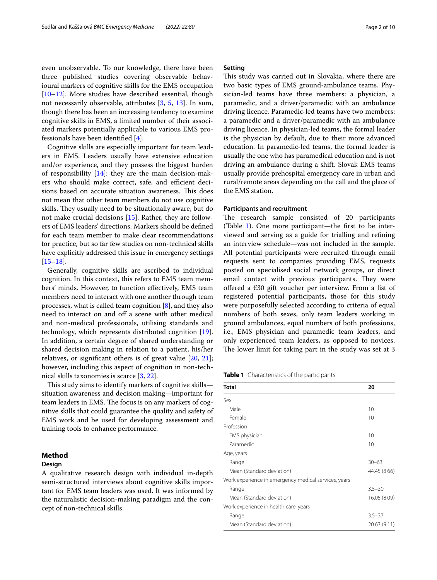even unobservable. To our knowledge, there have been three published studies covering observable behavioural markers of cognitive skills for the EMS occupation [[10–](#page-8-8)[12](#page-8-9)]. More studies have described essential, though not necessarily observable, attributes [\[3](#page-8-2), [5,](#page-8-3) [13\]](#page-8-10). In sum, though there has been an increasing tendency to examine cognitive skills in EMS, a limited number of their associated markers potentially applicable to various EMS professionals have been identifed [[4\]](#page-8-11).

Cognitive skills are especially important for team leaders in EMS. Leaders usually have extensive education and/or experience, and they possess the biggest burden of responsibility [[14](#page-8-12)]: they are the main decision-makers who should make correct, safe, and efficient decisions based on accurate situation awareness. This does not mean that other team members do not use cognitive skills. They usually need to be situationally aware, but do not make crucial decisions [\[15](#page-9-0)]. Rather, they are followers of EMS leaders' directions. Markers should be defned for each team member to make clear recommendations for practice, but so far few studies on non-technical skills have explicitly addressed this issue in emergency settings  $[15–18]$  $[15–18]$  $[15–18]$  $[15–18]$ .

Generally, cognitive skills are ascribed to individual cognition. In this context, this refers to EMS team members' minds. However, to function efectively, EMS team members need to interact with one another through team processes, what is called team cognition  $[8]$  $[8]$  $[8]$ , and they also need to interact on and off a scene with other medical and non-medical professionals, utilising standards and technology, which represents distributed cognition [\[19](#page-9-2)]. In addition, a certain degree of shared understanding or shared decision making in relation to a patient, his/her relatives, or signifcant others is of great value [[20](#page-9-3), [21](#page-9-4)]; however, including this aspect of cognition in non-technical skills taxonomies is scarce [[3,](#page-8-2) [22\]](#page-9-5).

This study aims to identify markers of cognitive skills situation awareness and decision making—important for team leaders in EMS. The focus is on any markers of cognitive skills that could guarantee the quality and safety of EMS work and be used for developing assessment and training tools to enhance performance.

## **Method**

## **Design**

A qualitative research design with individual in-depth semi-structured interviews about cognitive skills important for EMS team leaders was used. It was informed by the naturalistic decision-making paradigm and the concept of non-technical skills.

## **Setting**

This study was carried out in Slovakia, where there are two basic types of EMS ground-ambulance teams. Physician-led teams have three members: a physician, a paramedic, and a driver/paramedic with an ambulance driving licence. Paramedic-led teams have two members: a paramedic and a driver/paramedic with an ambulance driving licence. In physician-led teams, the formal leader is the physician by default, due to their more advanced education. In paramedic-led teams, the formal leader is usually the one who has paramedical education and is not driving an ambulance during a shift. Slovak EMS teams usually provide prehospital emergency care in urban and rural/remote areas depending on the call and the place of the EMS station.

## **Participants and recruitment**

The research sample consisted of 20 participants (Table [1\)](#page-1-0). One more participant—the frst to be interviewed and serving as a guide for trialling and refning an interview schedule—was not included in the sample. All potential participants were recruited through email requests sent to companies providing EMS, requests posted on specialised social network groups, or direct email contact with previous participants. They were offered a  $€30$  gift voucher per interview. From a list of registered potential participants, those for this study were purposefully selected according to criteria of equal numbers of both sexes, only team leaders working in ground ambulances, equal numbers of both professions, i.e., EMS physician and paramedic team leaders, and only experienced team leaders, as opposed to novices. The lower limit for taking part in the study was set at 3

<span id="page-1-0"></span>**Table 1** Characteristics of the participants

| <b>Total</b>                                         | 20           |
|------------------------------------------------------|--------------|
| Sex                                                  |              |
| Male                                                 | 10           |
| Female                                               | 10           |
| Profession                                           |              |
| EMS physician                                        | 10           |
| Paramedic                                            | 10           |
| Age, years                                           |              |
| Range                                                | $30 - 63$    |
| Mean (Standard deviation)                            | 44.45 (8.66) |
| Work experience in emergency medical services, years |              |
| Range                                                | $3.5 - 30$   |
| Mean (Standard deviation)                            | 16.05 (8.09) |
| Work experience in health care, years                |              |
| Range                                                | $3.5 - 37$   |
| Mean (Standard deviation)                            | 20.63 (9.11) |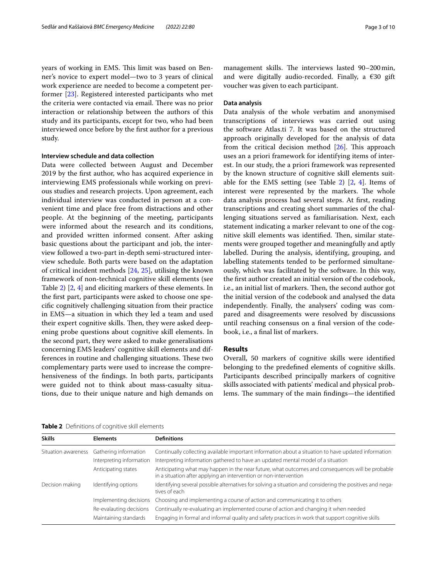years of working in EMS. This limit was based on Benner's novice to expert model—two to 3 years of clinical work experience are needed to become a competent performer [[23](#page-9-6)]. Registered interested participants who met the criteria were contacted via email. There was no prior interaction or relationship between the authors of this study and its participants, except for two, who had been interviewed once before by the frst author for a previous study.

#### **Interview schedule and data collection**

Data were collected between August and December 2019 by the frst author, who has acquired experience in interviewing EMS professionals while working on previous studies and research projects. Upon agreement, each individual interview was conducted in person at a convenient time and place free from distractions and other people. At the beginning of the meeting, participants were informed about the research and its conditions, and provided written informed consent. After asking basic questions about the participant and job, the interview followed a two-part in-depth semi-structured interview schedule. Both parts were based on the adaptation of critical incident methods [\[24](#page-9-7), [25](#page-9-8)], utilising the known framework of non-technical cognitive skill elements (see Table [2](#page-2-0)) [[2](#page-8-1), [4](#page-8-11)] and eliciting markers of these elements. In the frst part, participants were asked to choose one specifc cognitively challenging situation from their practice in EMS—a situation in which they led a team and used their expert cognitive skills. Then, they were asked deepening probe questions about cognitive skill elements. In the second part, they were asked to make generalisations concerning EMS leaders' cognitive skill elements and differences in routine and challenging situations. These two complementary parts were used to increase the comprehensiveness of the fndings. In both parts, participants were guided not to think about mass-casualty situations, due to their unique nature and high demands on management skills. The interviews lasted 90-200 min, and were digitally audio-recorded. Finally, a  $\epsilon$ 30 gift voucher was given to each participant.

## **Data analysis**

Data analysis of the whole verbatim and anonymised transcriptions of interviews was carried out using the software Atlas.ti 7. It was based on the structured approach originally developed for the analysis of data from the critical decision method  $[26]$  $[26]$  $[26]$ . This approach uses an a priori framework for identifying items of interest. In our study, the a priori framework was represented by the known structure of cognitive skill elements suit-able for the EMS setting (see Table [2\)](#page-2-0)  $[2, 4]$  $[2, 4]$  $[2, 4]$ . Items of interest were represented by the markers. The whole data analysis process had several steps. At frst, reading transcriptions and creating short summaries of the challenging situations served as familiarisation. Next, each statement indicating a marker relevant to one of the cognitive skill elements was identified. Then, similar statements were grouped together and meaningfully and aptly labelled. During the analysis, identifying, grouping, and labelling statements tended to be performed simultaneously, which was facilitated by the software. In this way, the frst author created an initial version of the codebook, i.e., an initial list of markers. Then, the second author got the initial version of the codebook and analysed the data independently. Finally, the analysers' coding was compared and disagreements were resolved by discussions until reaching consensus on a fnal version of the codebook, i.e., a fnal list of markers.

## **Results**

Overall, 50 markers of cognitive skills were identifed belonging to the predefned elements of cognitive skills. Participants described principally markers of cognitive skills associated with patients' medical and physical problems. The summary of the main findings—the identified

<span id="page-2-0"></span>**Table 2** Defnitions of cognitive skill elements

| <b>Elements</b>          | <b>Definitions</b>                                                                                                                                                    |
|--------------------------|-----------------------------------------------------------------------------------------------------------------------------------------------------------------------|
| Gathering information    | Continually collecting available important information about a situation to have updated information                                                                  |
| Interpreting information | Interpreting information gathered to have an updated mental model of a situation                                                                                      |
| Anticipating states      | Anticipating what may happen in the near future, what outcomes and consequences will be probable<br>in a situation after applying an intervention or non-intervention |
| Identifying options      | Identifying several possible alternatives for solving a situation and considering the positives and nega-<br>tives of each                                            |
| Implementing decisions   | Choosing and implementing a course of action and communicating it to others                                                                                           |
| Re-evalauting decisions  | Continually re-evaluating an implemented course of action and changing it when needed                                                                                 |
| Maintaining standards    | Engaging in formal and informal quality and safety practices in work that support cognitive skills                                                                    |
|                          |                                                                                                                                                                       |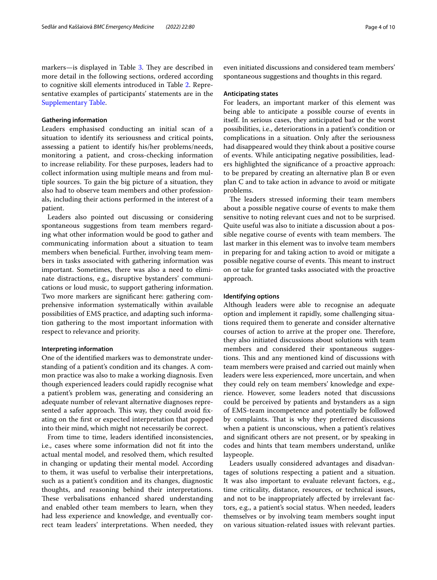markers—is displayed in Table [3](#page-4-0). They are described in more detail in the following sections, ordered according to cognitive skill elements introduced in Table [2.](#page-2-0) Representative examples of participants' statements are in the [Supplementary Table](#page-8-13).

## **Gathering information**

Leaders emphasised conducting an initial scan of a situation to identify its seriousness and critical points, assessing a patient to identify his/her problems/needs, monitoring a patient, and cross-checking information to increase reliability. For these purposes, leaders had to collect information using multiple means and from multiple sources. To gain the big picture of a situation, they also had to observe team members and other professionals, including their actions performed in the interest of a patient.

Leaders also pointed out discussing or considering spontaneous suggestions from team members regarding what other information would be good to gather and communicating information about a situation to team members when beneficial. Further, involving team members in tasks associated with gathering information was important. Sometimes, there was also a need to eliminate distractions, e.g., disruptive bystanders' communications or loud music, to support gathering information. Two more markers are signifcant here: gathering comprehensive information systematically within available possibilities of EMS practice, and adapting such information gathering to the most important information with respect to relevance and priority.

## **Interpreting information**

One of the identifed markers was to demonstrate understanding of a patient's condition and its changes. A common practice was also to make a working diagnosis. Even though experienced leaders could rapidly recognise what a patient's problem was, generating and considering an adequate number of relevant alternative diagnoses represented a safer approach. This way, they could avoid fixating on the frst or expected interpretation that popped into their mind, which might not necessarily be correct.

From time to time, leaders identifed inconsistencies, i.e., cases where some information did not ft into the actual mental model, and resolved them, which resulted in changing or updating their mental model. According to them, it was useful to verbalise their interpretations, such as a patient's condition and its changes, diagnostic thoughts, and reasoning behind their interpretations. These verbalisations enhanced shared understanding and enabled other team members to learn, when they had less experience and knowledge, and eventually correct team leaders' interpretations. When needed, they

even initiated discussions and considered team members' spontaneous suggestions and thoughts in this regard.

## **Anticipating states**

For leaders, an important marker of this element was being able to anticipate a possible course of events in itself. In serious cases, they anticipated bad or the worst possibilities, i.e., deteriorations in a patient's condition or complications in a situation. Only after the seriousness had disappeared would they think about a positive course of events. While anticipating negative possibilities, leaders highlighted the signifcance of a proactive approach: to be prepared by creating an alternative plan B or even plan C and to take action in advance to avoid or mitigate problems.

The leaders stressed informing their team members about a possible negative course of events to make them sensitive to noting relevant cues and not to be surprised. Quite useful was also to initiate a discussion about a possible negative course of events with team members. The last marker in this element was to involve team members in preparing for and taking action to avoid or mitigate a possible negative course of events. This meant to instruct on or take for granted tasks associated with the proactive approach.

## **Identifying options**

Although leaders were able to recognise an adequate option and implement it rapidly, some challenging situations required them to generate and consider alternative courses of action to arrive at the proper one. Therefore, they also initiated discussions about solutions with team members and considered their spontaneous suggestions. This and any mentioned kind of discussions with team members were praised and carried out mainly when leaders were less experienced, more uncertain, and when they could rely on team members' knowledge and experience. However, some leaders noted that discussions could be perceived by patients and bystanders as a sign of EMS-team incompetence and potentially be followed by complaints. That is why they preferred discussions when a patient is unconscious, when a patient's relatives and signifcant others are not present, or by speaking in codes and hints that team members understand, unlike laypeople.

Leaders usually considered advantages and disadvantages of solutions respecting a patient and a situation. It was also important to evaluate relevant factors, e.g., time criticality, distance, resources, or technical issues, and not to be inappropriately afected by irrelevant factors, e.g., a patient's social status. When needed, leaders themselves or by involving team members sought input on various situation-related issues with relevant parties.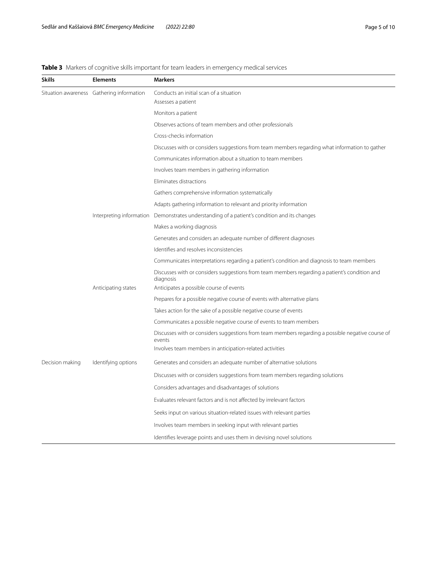## <span id="page-4-0"></span>**Table 3** Markers of cognitive skills important for team leaders in emergency medical services

| <b>Skills</b>                             | <b>Elements</b>     | <b>Markers</b>                                                                                              |
|-------------------------------------------|---------------------|-------------------------------------------------------------------------------------------------------------|
| Situation awareness Gathering information |                     | Conducts an initial scan of a situation                                                                     |
|                                           |                     | Assesses a patient                                                                                          |
|                                           |                     | Monitors a patient                                                                                          |
|                                           |                     | Observes actions of team members and other professionals                                                    |
|                                           |                     | Cross-checks information                                                                                    |
|                                           |                     | Discusses with or considers suggestions from team members regarding what information to gather              |
|                                           |                     | Communicates information about a situation to team members                                                  |
|                                           |                     | Involves team members in gathering information                                                              |
|                                           |                     | Eliminates distractions                                                                                     |
|                                           |                     | Gathers comprehensive information systematically                                                            |
|                                           |                     | Adapts gathering information to relevant and priority information                                           |
|                                           |                     | Interpreting information Demonstrates understanding of a patient's condition and its changes                |
|                                           |                     | Makes a working diagnosis                                                                                   |
|                                           |                     | Generates and considers an adequate number of different diagnoses                                           |
|                                           |                     | Identifies and resolves inconsistencies                                                                     |
|                                           |                     | Communicates interpretations regarding a patient's condition and diagnosis to team members                  |
|                                           |                     | Discusses with or considers suggestions from team members regarding a patient's condition and<br>diagnosis  |
|                                           | Anticipating states | Anticipates a possible course of events                                                                     |
|                                           |                     | Prepares for a possible negative course of events with alternative plans                                    |
|                                           |                     | Takes action for the sake of a possible negative course of events                                           |
|                                           |                     | Communicates a possible negative course of events to team members                                           |
|                                           |                     | Discusses with or considers suggestions from team members regarding a possible negative course of<br>events |
|                                           |                     | Involves team members in anticipation-related activities                                                    |
| Decision making                           | Identifying options | Generates and considers an adequate number of alternative solutions                                         |
|                                           |                     | Discusses with or considers suggestions from team members regarding solutions                               |
|                                           |                     | Considers advantages and disadvantages of solutions                                                         |
|                                           |                     | Evaluates relevant factors and is not affected by irrelevant factors                                        |
|                                           |                     | Seeks input on various situation-related issues with relevant parties                                       |
|                                           |                     | Involves team members in seeking input with relevant parties                                                |
|                                           |                     | Identifies leverage points and uses them in devising novel solutions                                        |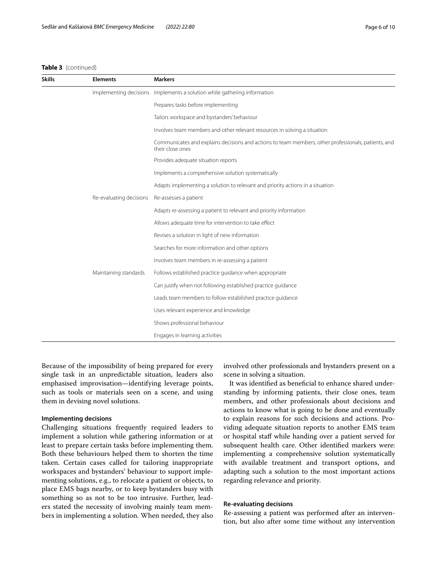**Skills Elements Markers**

## **Table 3** (continued)

| d)              |                                                                          |
|-----------------|--------------------------------------------------------------------------|
| <b>Elements</b> | <b>Markers</b>                                                           |
|                 | Implementing decisions Implements a solution while gathering information |
|                 | Prepares tasks before implementing                                       |

|                         | Prepares tasks before implementing                                                                                      |
|-------------------------|-------------------------------------------------------------------------------------------------------------------------|
|                         | Tailors workspace and bystanders' behaviour                                                                             |
|                         | Involves team members and other relevant resources in solving a situation                                               |
|                         | Communicates and explains decisions and actions to team members, other professionals, patients, and<br>their close ones |
|                         | Provides adequate situation reports                                                                                     |
|                         | Implements a comprehensive solution systematically                                                                      |
|                         | Adapts implementing a solution to relevant and priority actions in a situation                                          |
| Re-evaluating decisions | Re-assesses a patient                                                                                                   |
|                         | Adapts re-assessing a patient to relevant and priority information                                                      |
|                         | Allows adequate time for intervention to take effect                                                                    |
|                         | Revises a solution in light of new information                                                                          |
|                         | Searches for more information and other options                                                                         |
|                         | Involves team members in re-assessing a patient                                                                         |
| Maintaining standards   | Follows established practice quidance when appropriate                                                                  |
|                         | Can justify when not following established practice quidance                                                            |
|                         | Leads team members to follow established practice quidance                                                              |
|                         | Uses relevant experience and knowledge                                                                                  |
|                         | Shows professional behaviour                                                                                            |
|                         | Engages in learning activities                                                                                          |

Because of the impossibility of being prepared for every single task in an unpredictable situation, leaders also emphasised improvisation—identifying leverage points, such as tools or materials seen on a scene, and using them in devising novel solutions.

## **Implementing decisions**

Challenging situations frequently required leaders to implement a solution while gathering information or at least to prepare certain tasks before implementing them. Both these behaviours helped them to shorten the time taken. Certain cases called for tailoring inappropriate workspaces and bystanders' behaviour to support implementing solutions, e.g., to relocate a patient or objects, to place EMS bags nearby, or to keep bystanders busy with something so as not to be too intrusive. Further, leaders stated the necessity of involving mainly team members in implementing a solution. When needed, they also involved other professionals and bystanders present on a scene in solving a situation.

It was identified as beneficial to enhance shared understanding by informing patients, their close ones, team members, and other professionals about decisions and actions to know what is going to be done and eventually to explain reasons for such decisions and actions. Providing adequate situation reports to another EMS team or hospital staf while handing over a patient served for subsequent health care. Other identifed markers were: implementing a comprehensive solution systematically with available treatment and transport options, and adapting such a solution to the most important actions regarding relevance and priority.

## **Re‑evaluating decisions**

Re-assessing a patient was performed after an intervention, but also after some time without any intervention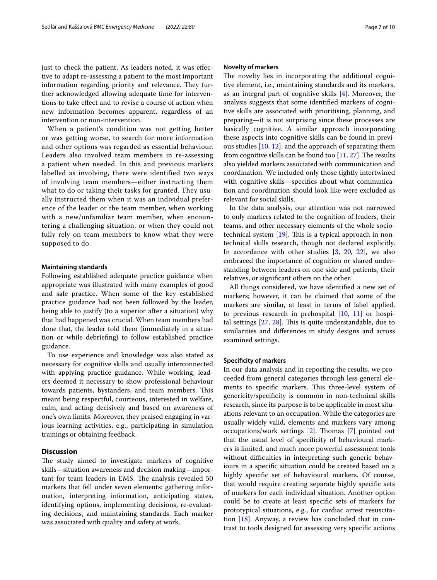just to check the patient. As leaders noted, it was effective to adapt re-assessing a patient to the most important information regarding priority and relevance. They further acknowledged allowing adequate time for interventions to take efect and to revise a course of action when new information becomes apparent, regardless of an intervention or non-intervention.

When a patient's condition was not getting better or was getting worse, to search for more information and other options was regarded as essential behaviour. Leaders also involved team members in re-assessing a patient when needed. In this and previous markers labelled as involving, there were identified two ways of involving team members—either instructing them what to do or taking their tasks for granted. They usually instructed them when it was an individual preference of the leader or the team member, when working with a new/unfamiliar team member, when encountering a challenging situation, or when they could not fully rely on team members to know what they were supposed to do.

## **Maintaining standards**

Following established adequate practice guidance when appropriate was illustrated with many examples of good and safe practice. When some of the key established practice guidance had not been followed by the leader, being able to justify (to a superior after a situation) why that had happened was crucial. When team members had done that, the leader told them (immediately in a situation or while debriefng) to follow established practice guidance.

To use experience and knowledge was also stated as necessary for cognitive skills and usually interconnected with applying practice guidance. While working, leaders deemed it necessary to show professional behaviour towards patients, bystanders, and team members. This meant being respectful, courteous, interested in welfare, calm, and acting decisively and based on awareness of one's own limits. Moreover, they praised engaging in various learning activities, e.g., participating in simulation trainings or obtaining feedback.

## **Discussion**

The study aimed to investigate markers of cognitive skills—situation awareness and decision making—important for team leaders in EMS. The analysis revealed 50 markers that fell under seven elements: gathering information, interpreting information, anticipating states, identifying options, implementing decisions, re-evaluating decisions, and maintaining standards. Each marker was associated with quality and safety at work.

## **Novelty of markers**

The novelty lies in incorporating the additional cognitive element, i.e., maintaining standards and its markers, as an integral part of cognitive skills [[4\]](#page-8-11). Moreover, the analysis suggests that some identifed markers of cognitive skills are associated with prioritising, planning, and preparing—it is not surprising since these processes are basically cognitive. A similar approach incorporating these aspects into cognitive skills can be found in previous studies [[10,](#page-8-8) [12](#page-8-9)], and the approach of separating them from cognitive skills can be found too  $[11, 27]$  $[11, 27]$  $[11, 27]$  $[11, 27]$ . The results also yielded markers associated with communication and coordination. We included only those tightly intertwined with cognitive skills—specifcs about what communication and coordination should look like were excluded as relevant for social skills.

In the data analysis, our attention was not narrowed to only markers related to the cognition of leaders, their teams, and other necessary elements of the whole sociotechnical system  $[19]$  $[19]$  $[19]$ . This is a typical approach in nontechnical skills research, though not declared explicitly. In accordance with other studies [[3](#page-8-2), [20,](#page-9-3) [22\]](#page-9-5), we also embraced the importance of cognition or shared understanding between leaders on one side and patients, their relatives, or signifcant others on the other.

All things considered, we have identifed a new set of markers; however, it can be claimed that some of the markers are similar, at least in terms of label applied, to previous research in prehospital [\[10](#page-8-8), [11\]](#page-8-14) or hospital settings  $[27, 28]$  $[27, 28]$  $[27, 28]$  $[27, 28]$ . This is quite understandable, due to similarities and diferences in study designs and across examined settings.

#### **Specifcity of markers**

In our data analysis and in reporting the results, we proceeded from general categories through less general elements to specific markers. This three-level system of genericity/specifcity is common in non-technical skills research, since its purpose is to be applicable in most situations relevant to an occupation. While the categories are usually widely valid, elements and markers vary among occupations/work settings  $[2]$  $[2]$ . Thomas  $[7]$  $[7]$  $[7]$  pointed out that the usual level of specifcity of behavioural markers is limited, and much more powerful assessment tools without difficulties in interpreting such generic behaviours in a specifc situation could be created based on a highly specifc set of behavioural markers. Of course, that would require creating separate highly specifc sets of markers for each individual situation. Another option could be to create at least specifc sets of markers for prototypical situations, e.g., for cardiac arrest resuscitation [\[18\]](#page-9-1). Anyway, a review has concluded that in contrast to tools designed for assessing very specifc actions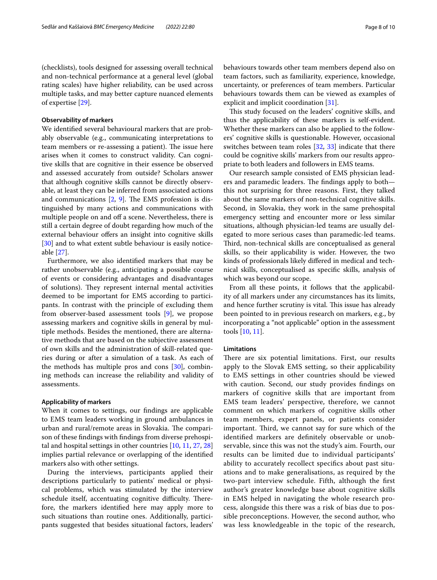(checklists), tools designed for assessing overall technical and non-technical performance at a general level (global rating scales) have higher reliability, can be used across multiple tasks, and may better capture nuanced elements of expertise [[29](#page-9-12)].

## **Observability of markers**

We identifed several behavioural markers that are probably observable (e.g., communicating interpretations to team members or re-assessing a patient). The issue here arises when it comes to construct validity. Can cognitive skills that are cognitive in their essence be observed and assessed accurately from outside? Scholars answer that although cognitive skills cannot be directly observable, at least they can be inferred from associated actions and communications  $[2, 9]$  $[2, 9]$  $[2, 9]$  $[2, 9]$ . The EMS profession is distinguished by many actions and communications with multiple people on and off a scene. Nevertheless, there is still a certain degree of doubt regarding how much of the external behaviour offers an insight into cognitive skills [[30\]](#page-9-13) and to what extent subtle behaviour is easily noticeable [[27\]](#page-9-10).

Furthermore, we also identifed markers that may be rather unobservable (e.g., anticipating a possible course of events or considering advantages and disadvantages of solutions). They represent internal mental activities deemed to be important for EMS according to participants. In contrast with the principle of excluding them from observer-based assessment tools [[9](#page-8-7)], we propose assessing markers and cognitive skills in general by multiple methods. Besides the mentioned, there are alternative methods that are based on the subjective assessment of own skills and the administration of skill-related queries during or after a simulation of a task. As each of the methods has multiple pros and cons [[30\]](#page-9-13), combining methods can increase the reliability and validity of assessments.

### **Applicability of markers**

When it comes to settings, our fndings are applicable to EMS team leaders working in ground ambulances in urban and rural/remote areas in Slovakia. The comparison of these fndings with fndings from diverse prehospital and hospital settings in other countries [\[10](#page-8-8), [11,](#page-8-14) [27,](#page-9-10) [28](#page-9-11)] implies partial relevance or overlapping of the identifed markers also with other settings.

During the interviews, participants applied their descriptions particularly to patients' medical or physical problems, which was stimulated by the interview schedule itself, accentuating cognitive difficulty. Therefore, the markers identifed here may apply more to such situations than routine ones. Additionally, participants suggested that besides situational factors, leaders' behaviours towards other team members depend also on team factors, such as familiarity, experience, knowledge, uncertainty, or preferences of team members. Particular behaviours towards them can be viewed as examples of explicit and implicit coordination [[31](#page-9-14)].

This study focused on the leaders' cognitive skills, and thus the applicability of these markers is self-evident. Whether these markers can also be applied to the followers' cognitive skills is questionable. However, occasional switches between team roles [\[32](#page-9-15), [33\]](#page-9-16) indicate that there could be cognitive skills' markers from our results appropriate to both leaders and followers in EMS teams.

Our research sample consisted of EMS physician leaders and paramedic leaders. The findings apply to both this not surprising for three reasons. First, they talked about the same markers of non-technical cognitive skills. Second, in Slovakia, they work in the same prehospital emergency setting and encounter more or less similar situations, although physician-led teams are usually delegated to more serious cases than paramedic-led teams. Third, non-technical skills are conceptualised as general skills, so their applicability is wider. However, the two kinds of professionals likely difered in medical and technical skills, conceptualised as specifc skills, analysis of which was beyond our scope.

From all these points, it follows that the applicability of all markers under any circumstances has its limits, and hence further scrutiny is vital. This issue has already been pointed to in previous research on markers, e.g., by incorporating a "not applicable" option in the assessment tools [\[10](#page-8-8), [11](#page-8-14)].

## **Limitations**

There are six potential limitations. First, our results apply to the Slovak EMS setting, so their applicability to EMS settings in other countries should be viewed with caution. Second, our study provides fndings on markers of cognitive skills that are important from EMS team leaders' perspective, therefore, we cannot comment on which markers of cognitive skills other team members, expert panels, or patients consider important. Third, we cannot say for sure which of the identifed markers are defnitely observable or unobservable, since this was not the study's aim. Fourth, our results can be limited due to individual participants' ability to accurately recollect specifcs about past situations and to make generalisations, as required by the two-part interview schedule. Fifth, although the frst author's greater knowledge base about cognitive skills in EMS helped in navigating the whole research process, alongside this there was a risk of bias due to possible preconceptions. However, the second author, who was less knowledgeable in the topic of the research,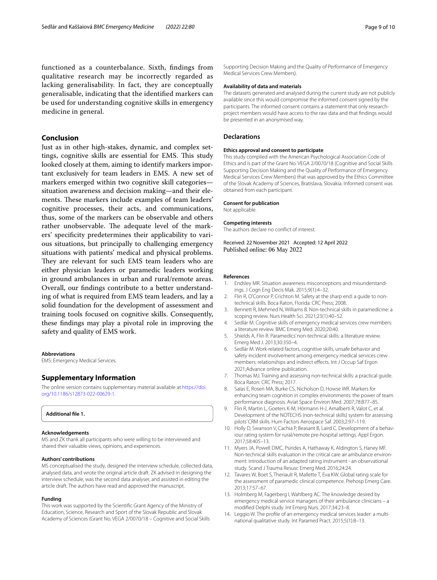functioned as a counterbalance. Sixth, fndings from qualitative research may be incorrectly regarded as lacking generalisability. In fact, they are conceptually generalisable, indicating that the identifed markers can be used for understanding cognitive skills in emergency medicine in general.

## **Conclusion**

Just as in other high-stakes, dynamic, and complex settings, cognitive skills are essential for EMS. This study looked closely at them, aiming to identify markers important exclusively for team leaders in EMS. A new set of markers emerged within two cognitive skill categories situation awareness and decision making—and their elements. These markers include examples of team leaders' cognitive processes, their acts, and communications, thus, some of the markers can be observable and others rather unobservable. The adequate level of the markers' specifcity predetermines their applicability to various situations, but principally to challenging emergency situations with patients' medical and physical problems. They are relevant for such EMS team leaders who are either physician leaders or paramedic leaders working in ground ambulances in urban and rural/remote areas. Overall, our fndings contribute to a better understanding of what is required from EMS team leaders, and lay a solid foundation for the development of assessment and training tools focused on cognitive skills. Consequently, these fndings may play a pivotal role in improving the safety and quality of EMS work.

#### **Abbreviations**

EMS: Emergency Medical Services.

#### **Supplementary Information**

The online version contains supplementary material available at [https://doi.](https://doi.org/10.1186/s12873-022-00629-1) [org/10.1186/s12873-022-00629-1](https://doi.org/10.1186/s12873-022-00629-1).

## <span id="page-8-13"></span>**Additional fle 1.**

#### **Acknowledgements**

MS and ZK thank all participants who were willing to be interviewed and shared their valuable views, opinions, and experiences.

#### **Authors' contributions**

MS conceptualised the study, designed the interview schedule, collected data, analysed data, and wrote the original article draft. ZK advised in designing the interview schedule, was the second data analyser, and assisted in editing the article draft. The authors have read and approved the manuscript.

## **Funding**

This work was supported by the Scientifc Grant Agency of the Ministry of Education, Science, Research and Sport of the Slovak Republic and Slovak Academy of Sciences (Grant No. VEGA 2/0070/18 – Cognitive and Social Skills Supporting Decision Making and the Quality of Performance of Emergency Medical Services Crew Members).

## **Availability of data and materials**

The datasets generated and analysed during the current study are not publicly available since this would compromise the informed consent signed by the participants. The informed consent contains a statement that only researchproject members would have access to the raw data and that fndings would be presented in an anonymised way.

#### **Declarations**

#### **Ethics approval and consent to participate**

This study complied with the American Psychological Association Code of Ethics and is part of the Grant No. VEGA 2/0070/18 (Cognitive and Social Skills Supporting Decision Making and the Quality of Performance of Emergency Medical Services Crew Members) that was approved by the Ethics Committee of the Slovak Academy of Sciences, Bratislava, Slovakia. Informed consent was obtained from each participant.

#### **Consent for publication**

Not applicable.

#### **Competing interests**

The authors declare no confict of interest.

Received: 22 November 2021 Accepted: 12 April 2022 Published online: 06 May 2022

#### **References**

- <span id="page-8-0"></span>1. Endsley MR. Situation awareness misconceptions and misunderstandings. J Cogn Eng Decis Mak. 2015;9(1):4–32.
- <span id="page-8-1"></span>2. Flin R, O'Connor P, Crichton M. Safety at the sharp end: a quide to nontechnical skills. Boca Raton, Florida: CRC Press; 2008.
- <span id="page-8-2"></span>3. Bennett R, Mehmed N, Williams B. Non-technical skills in paramedicine: a scoping review. Nurs Health Sci. 2021;23(1):40–52.
- <span id="page-8-11"></span>Sedlár M. Cognitive skills of emergency medical services crew members: a literature review. BMC Emerg Med. 2020;20:40.
- <span id="page-8-3"></span>5. Shields A, Flin R. Paramedics' non-technical skills: a literature review. Emerg Med J. 2013;30:350–4.
- <span id="page-8-4"></span>6. Sedlár M. Work-related factors, cognitive skills, unsafe behavior and safety incident involvement among emergency medical services crew members: relationships and indirect efects. Int J Occup Saf Ergon 2021;Advance online publication.
- <span id="page-8-5"></span>7. Thomas MJ. Training and assessing non-technical skills: a practical guide. Boca Raton: CRC Press; 2017.
- <span id="page-8-6"></span>8. Salas E, Rosen MA, Burke CS, Nicholson D, Howse WR. Markers for enhancing team cognition in complex environments: the power of team performance diagnosis. Aviat Space Environ Med. 2007;78:B77–85.
- <span id="page-8-7"></span>9. Flin R, Martin L, Goeters K-M, Hörmann H-J, Amalberti R, Valot C, et al. Development of the NOTECHS (non-technical skills) system for assessing pilots' CRM skills. Hum Factors Aerospace Saf. 2003;2:97–119.
- <span id="page-8-8"></span>10. Holly D, Swanson V, Cachia P, Beasant B, Laird C. Development of a behaviour rating system for rural/remote pre-hospital settings. Appl Ergon. 2017;58:405–13.
- <span id="page-8-14"></span>11. Myers JA, Powell DMC, Psirides A, Hathaway K, Aldington S, Haney MF. Non-technical skills evaluation in the critical care air ambulance environment: introduction of an adapted rating instrument - an observational study. Scand J Trauma Resusc Emerg Med. 2016;24:24.
- <span id="page-8-9"></span>12. Tavares W, Boet S, Theriault R, Mallette T, Eva KW. Global rating scale for the assessment of paramedic clinical competence. Prehosp Emerg Care. 2013;17:57–67.
- <span id="page-8-10"></span>13. Holmberg M, Fagerberg I, Wahlberg AC. The knowledge desired by emergency medical service managers of their ambulance clinicians – a modifed Delphi study. Int Emerg Nurs. 2017;34:23–8.
- <span id="page-8-12"></span>14. Leggio W. The profle of an emergency medical services leader: a multinational qualitative study. Int Paramed Pract. 2015;5(1):8–13.